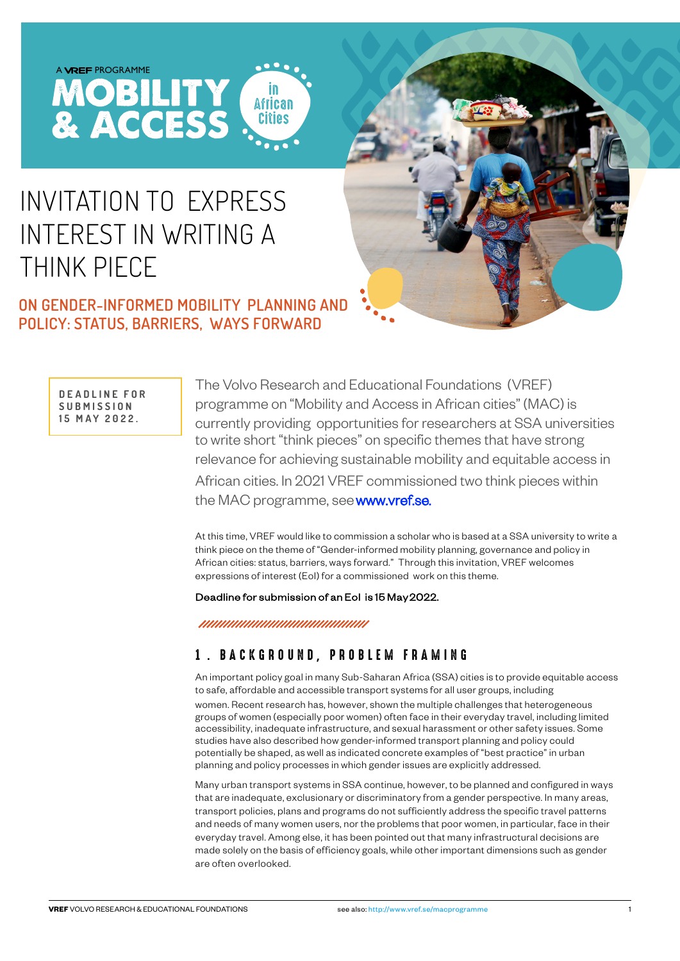# INVITATION TO EXPRESS INTEREST IN WRITING A THINK PIECE

**MOBILITY**<br>& ACCESS

# **ON GENDER-INFORMED MOBILITY PLANNING AND POLICY: STATUS, BARRIERS, WAYS FORWARD**

**D E A D L I N E F O R S U B M I S S I O N 15 MAY 2022.**

The Volvo Research and Educational Foundations (VREF) programme on "Mobility and Access in African cities" (MAC) is currently providing opportunities for researchers at SSA universities to write short "think pieces" on specific themes that have strong relevance for achieving sustainable mobility and equitable access in African cities. In 2021 VREF commissioned two think pieces within the MAC programme, see www.vref.se.

At this time, VREF would like to commission a scholar who is based at a SSA university to write a think piece on the theme of "Gender-informed mobility planning, governance and policy in African cities: status, barriers, ways forward." Through this invitation, VREF welcomes expressions of interest (EoI) for a commissioned work on this theme.

#### [Deadline for submission of an EoI is 15 May 2022](mailto:mailto:secretariat@vref.se)[.](mailto:mailto:secretariat%40vref.se?subject=)

**African** 

#### 1. BACKGROUND, PROBLEM FRAMING

An important policy goal in many Sub-Saharan Africa (SSA) cities is to provide equitable access to safe, affordable and accessible transport systems for all user groups, including

women. Recent research has, however, shown the multiple challenges that heterogeneous groups of women (especially poor women) often face in their everyday travel, including limited accessibility, inadequate infrastructure, and sexual harassment or other safety issues. Some studies have also described how gender-informed transport planning and policy could potentially be shaped, as well as indicated concrete examples of "best practice" in urban planning and policy processes in which gender issues are explicitly addressed.

Many urban transport systems in SSA continue, however, to be planned and configured in ways that are inadequate, exclusionary or discriminatory from a gender perspective. In many areas, transport policies, plans and programs do not sufficiently address the specific travel patterns and needs of many women users, nor the problems that poor women, in particular, face in their everyday travel. Among else, it has been pointed out that many infrastructural decisions are made solely on the basis of efficiency goals, while other important dimensions such as gender are often overlooked.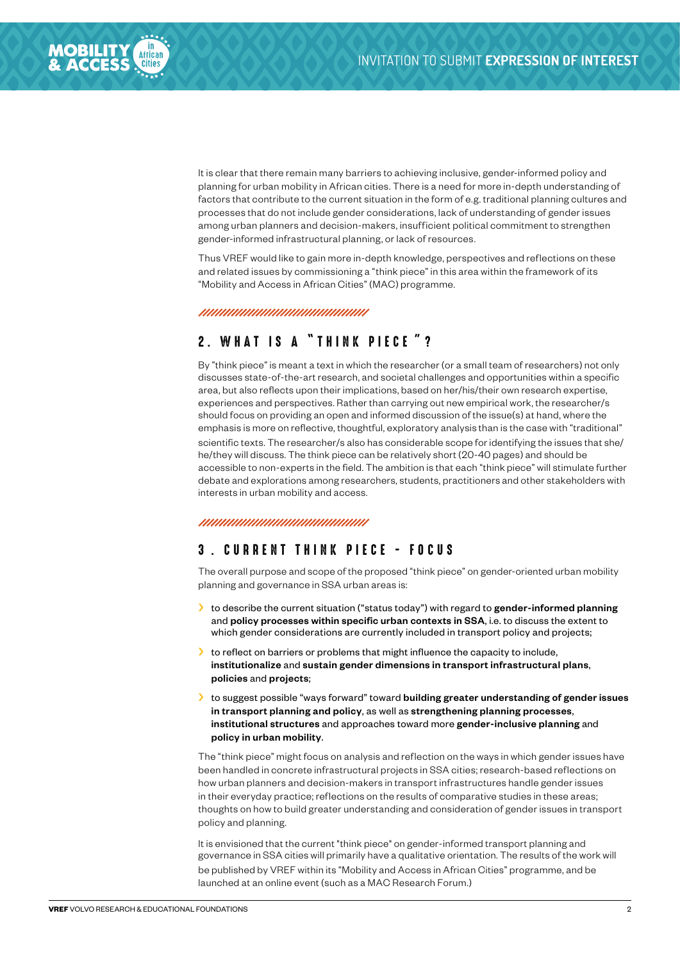

It is clear that there remain many barriers to achieving inclusive, gender-informed policy and planning for urban mobility in African cities. There is a need for more in-depth understanding of factors that contribute to the current situation in the form of e.g. traditional planning cultures and processes that do not include gender considerations, lack of understanding of gender issues among urban planners and decision-makers, insufficient political commitment to strengthen gender-informed infrastructural planning, or lack of resources.

Thus VREF would like to gain more in-depth knowledge, perspectives and reflections on these and related issues by commissioning a "think piece" in this area within the framework of its "Mobility and Access in African Cities" (MAC) programme.

## 2. W HAT IS A "THINK PIECE " ?

By "think piece" is meant a text in which the researcher (or a small team of researchers) not only discusses state-of-the-art research, and societal challenges and opportunities within a specific area, but also reflects upon their implications, based on her/his/their own research expertise, experiences and perspectives. Rather than carrying out new empirical work, the researcher/s should focus on providing an open and informed discussion of the issue(s) at hand, where the emphasis is more on reflective, thoughtful, exploratory analysis than is the case with "traditional" scientific texts. The researcher/s also has considerable scope for identifying the issues that she/ he/they will discuss. The think piece can be relatively short (20-40 pages) and should be accessible to non-experts in the field. The ambition is that each "think piece" will stimulate further debate and explorations among researchers, students, practitioners and other stakeholders with interests in urban mobility and access.

## 3 . CURRENT THINK PIECE - FOCUS

The overall purpose and scope of the proposed "think piece" on gender-oriented urban mobility planning and governance in SSA urban areas is:

- $\rightarrow$  to describe the current situation ("status today") with regard to gender-informed planning and policy processes within specific urban contexts in SSA, i.e. to discuss the extent to which gender considerations are currently included in transport policy and projects;
- $\blacktriangleright$  to reflect on barriers or problems that might influence the capacity to include, institutionalize and sustain gender dimensions in transport infrastructural plans, policies and projects;
- I to suggest possible "ways forward" toward building greater understanding of gender issues in transport planning and policy, as well as strengthening planning processes, institutional structures and approaches toward more gender-inclusive planning and policy in urban mobility.

The "think piece" might focus on analysis and reflection on the ways in which gender issues have been handled in concrete infrastructural projects in SSA cities; research-based reflections on how urban planners and decision-makers in transport infrastructures handle gender issues in their everyday practice; reflections on the results of comparative studies in these areas; thoughts on how to build greater understanding and consideration of gender issues in transport policy and planning.

It is envisioned that the current "think piece" on gender-informed transport planning and governance in SSA cities will primarily have a qualitative orientation. The results of the work will be published by VREF within its "Mobility and Access in African Cities" programme, and be launched at an online event (such as a MAC Research Forum.)